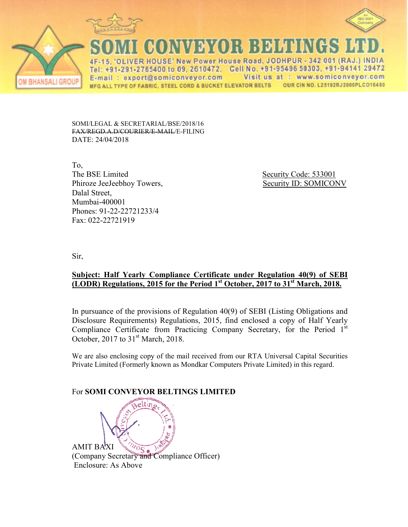



<u>govia da (o) : 13 din novi</u>

ER HOUSE' New Power House Road, JODHPUR - 342 001 (RAJ.) INDIA Tel: +91-291-2765400 to 09, 2610472, Cell No. +91-95496 50303, +91-94141 29472 Visit us at : www.somiconveyor.com E-mail: export@somiconveyor.com **OUR CIN NO. L25192RJ2000PLCO16480** MFG ALL TYPE OF FABRIC. STEEL CORD & BUCKET ELEVATOR BELTS

SOMI/LEGAL & SECRETARIAL/BSE/2018/16 FAX/REGD.A.D/COURIER/E ER/E-MAIL/E-FILING DATE: 24/04/2018

To, The BSE Limited Phiroze JeeJeebhoy Towers, Dalal Street, Mumbai-400001 Phones: 91-22-22721233/4 1233/4Fax: 022-22721919

Security Code: 533001 Towers, Security ID: SOMICONV

Sir,

**BHANSALI GROUP** 

## **<u>Subject: Half Yearly Compliance Certificate under Regulation 40(9) of SEBI</u> (LODR) Regulations, 201 s, 2015 for the Period 1st October, 2017 to 31st Mar March, 2018.**

In pursuance of the provisions of Regulation 40(9) of SEBI (Listing Obligations and Disclosure Requirements) Regulations, 2015, find enclosed a copy of Half Yearly Compliance Certificate from Practicing Company Secretary, for the Period 1<sup>st</sup> October, 2017 to  $31<sup>st</sup>$  March, 2018.

We are also enclosing copy of the mail received from our RTA Universal Capital Securities Private Limited (Formerly known as Mondkar Computers Private Limited) in this regard.

## **For SOMI CONVEYOR BELTINGS LIMITED**